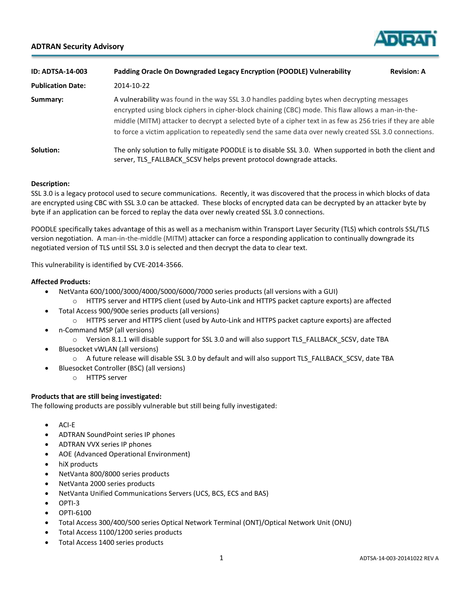# **ADTRAN Security Advisory**



| <b>ID: ADTSA-14-003</b>  | Padding Oracle On Downgraded Legacy Encryption (POODLE) Vulnerability                                                                                                                                                                                                                                                                                                                                                    | <b>Revision: A</b> |
|--------------------------|--------------------------------------------------------------------------------------------------------------------------------------------------------------------------------------------------------------------------------------------------------------------------------------------------------------------------------------------------------------------------------------------------------------------------|--------------------|
| <b>Publication Date:</b> | 2014-10-22                                                                                                                                                                                                                                                                                                                                                                                                               |                    |
| Summary:                 | A vulnerability was found in the way SSL 3.0 handles padding bytes when decrypting messages<br>encrypted using block ciphers in cipher-block chaining (CBC) mode. This flaw allows a man-in-the-<br>middle (MITM) attacker to decrypt a selected byte of a cipher text in as few as 256 tries if they are able<br>to force a victim application to repeatedly send the same data over newly created SSL 3.0 connections. |                    |
| Solution:                | The only solution to fully mitigate POODLE is to disable SSL 3.0. When supported in both the client and<br>server, TLS FALLBACK SCSV helps prevent protocol downgrade attacks.                                                                                                                                                                                                                                           |                    |

### **Description:**

SSL 3.0 is a legacy protocol used to secure communications. Recently, it was discovered that the process in which blocks of data are encrypted using CBC with SSL 3.0 can be attacked. These blocks of encrypted data can be decrypted by an attacker byte by byte if an application can be forced to replay the data over newly created SSL 3.0 connections.

POODLE specifically takes advantage of this as well as a mechanism within Transport Layer Security (TLS) which controls SSL/TLS version negotiation. A man-in-the-middle (MITM) attacker can force a responding application to continually downgrade its negotiated version of TLS until SSL 3.0 is selected and then decrypt the data to clear text.

This vulnerability is identified by CVE-2014-3566.

#### **Affected Products:**

- NetVanta 600/1000/3000/4000/5000/6000/7000 series products (all versions with a GUI)
- o HTTPS server and HTTPS client (used by Auto-Link and HTTPS packet capture exports) are affected
- Total Access 900/900e series products (all versions)
	- o HTTPS server and HTTPS client (used by Auto-Link and HTTPS packet capture exports) are affected
- n-Command MSP (all versions)
	- o Version 8.1.1 will disable support for SSL 3.0 and will also support TLS\_FALLBACK\_SCSV, date TBA
- Bluesocket vWLAN (all versions)
	- o A future release will disable SSL 3.0 by default and will also support TLS\_FALLBACK\_SCSV, date TBA
- Bluesocket Controller (BSC) (all versions)
	- o HTTPS server

### **Products that are still being investigated:**

The following products are possibly vulnerable but still being fully investigated:

- $\bullet$  ACI-E
- ADTRAN SoundPoint series IP phones
- ADTRAN VVX series IP phones
- AOE (Advanced Operational Environment)
- hiX products
- NetVanta 800/8000 series products
- NetVanta 2000 series products
- NetVanta Unified Communications Servers (UCS, BCS, ECS and BAS)
- $\bullet$  OPTI-3
- OPTI-6100
- Total Access 300/400/500 series Optical Network Terminal (ONT)/Optical Network Unit (ONU)
- Total Access 1100/1200 series products
- Total Access 1400 series products